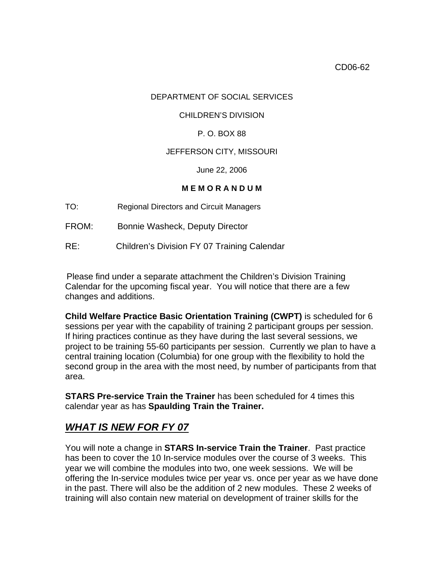## DEPARTMENT OF SOCIAL SERVICES

#### CHILDREN'S DIVISION

## P. O. BOX 88

## JEFFERSON CITY, MISSOURI

June 22, 2006

## **M E M O R A N D U M**

- TO: Regional Directors and Circuit Managers
- FROM: Bonnie Washeck, Deputy Director
- RE: Children's Division FY 07 Training Calendar

 Please find under a separate attachment the Children's Division Training Calendar for the upcoming fiscal year. You will notice that there are a few changes and additions.

**Child Welfare Practice Basic Orientation Training (CWPT)** is scheduled for 6 sessions per year with the capability of training 2 participant groups per session. If hiring practices continue as they have during the last several sessions, we project to be training 55-60 participants per session. Currently we plan to have a central training location (Columbia) for one group with the flexibility to hold the second group in the area with the most need, by number of participants from that area.

**STARS Pre-service Train the Trainer** has been scheduled for 4 times this calendar year as has **Spaulding Train the Trainer.** 

# *WHAT IS NEW FOR FY 07*

You will note a change in **STARS In-service Train the Trainer**. Past practice has been to cover the 10 In-service modules over the course of 3 weeks. This year we will combine the modules into two, one week sessions. We will be offering the In-service modules twice per year vs. once per year as we have done in the past. There will also be the addition of 2 new modules. These 2 weeks of training will also contain new material on development of trainer skills for the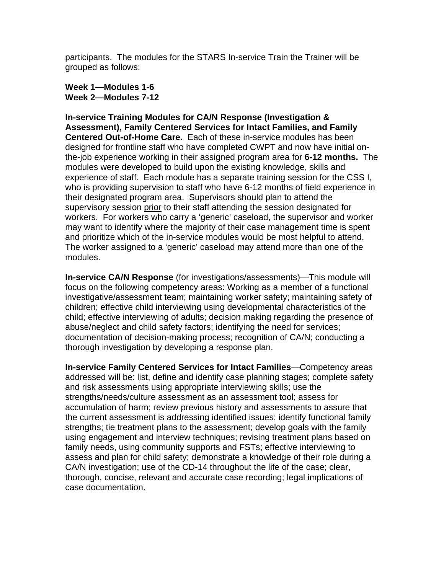participants. The modules for the STARS In-service Train the Trainer will be grouped as follows:

**Week 1—Modules 1-6 Week 2—Modules 7-12** 

**In-service Training Modules for CA/N Response (Investigation & Assessment), Family Centered Services for Intact Families, and Family Centered Out-of-Home Care.** Each of these in-service modules has been designed for frontline staff who have completed CWPT and now have initial onthe-job experience working in their assigned program area for **6-12 months.** The modules were developed to build upon the existing knowledge, skills and experience of staff. Each module has a separate training session for the CSS I, who is providing supervision to staff who have 6-12 months of field experience in their designated program area. Supervisors should plan to attend the supervisory session prior to their staff attending the session designated for workers. For workers who carry a 'generic' caseload, the supervisor and worker may want to identify where the majority of their case management time is spent and prioritize which of the in-service modules would be most helpful to attend. The worker assigned to a 'generic' caseload may attend more than one of the modules.

**In-service CA/N Response** (for investigations/assessments)—This module will focus on the following competency areas: Working as a member of a functional investigative/assessment team; maintaining worker safety; maintaining safety of children; effective child interviewing using developmental characteristics of the child; effective interviewing of adults; decision making regarding the presence of abuse/neglect and child safety factors; identifying the need for services; documentation of decision-making process; recognition of CA/N; conducting a thorough investigation by developing a response plan.

**In-service Family Centered Services for Intact Families**—Competency areas addressed will be: list, define and identify case planning stages; complete safety and risk assessments using appropriate interviewing skills; use the strengths/needs/culture assessment as an assessment tool; assess for accumulation of harm; review previous history and assessments to assure that the current assessment is addressing identified issues; identify functional family strengths; tie treatment plans to the assessment; develop goals with the family using engagement and interview techniques; revising treatment plans based on family needs, using community supports and FSTs; effective interviewing to assess and plan for child safety; demonstrate a knowledge of their role during a CA/N investigation; use of the CD-14 throughout the life of the case; clear, thorough, concise, relevant and accurate case recording; legal implications of case documentation.